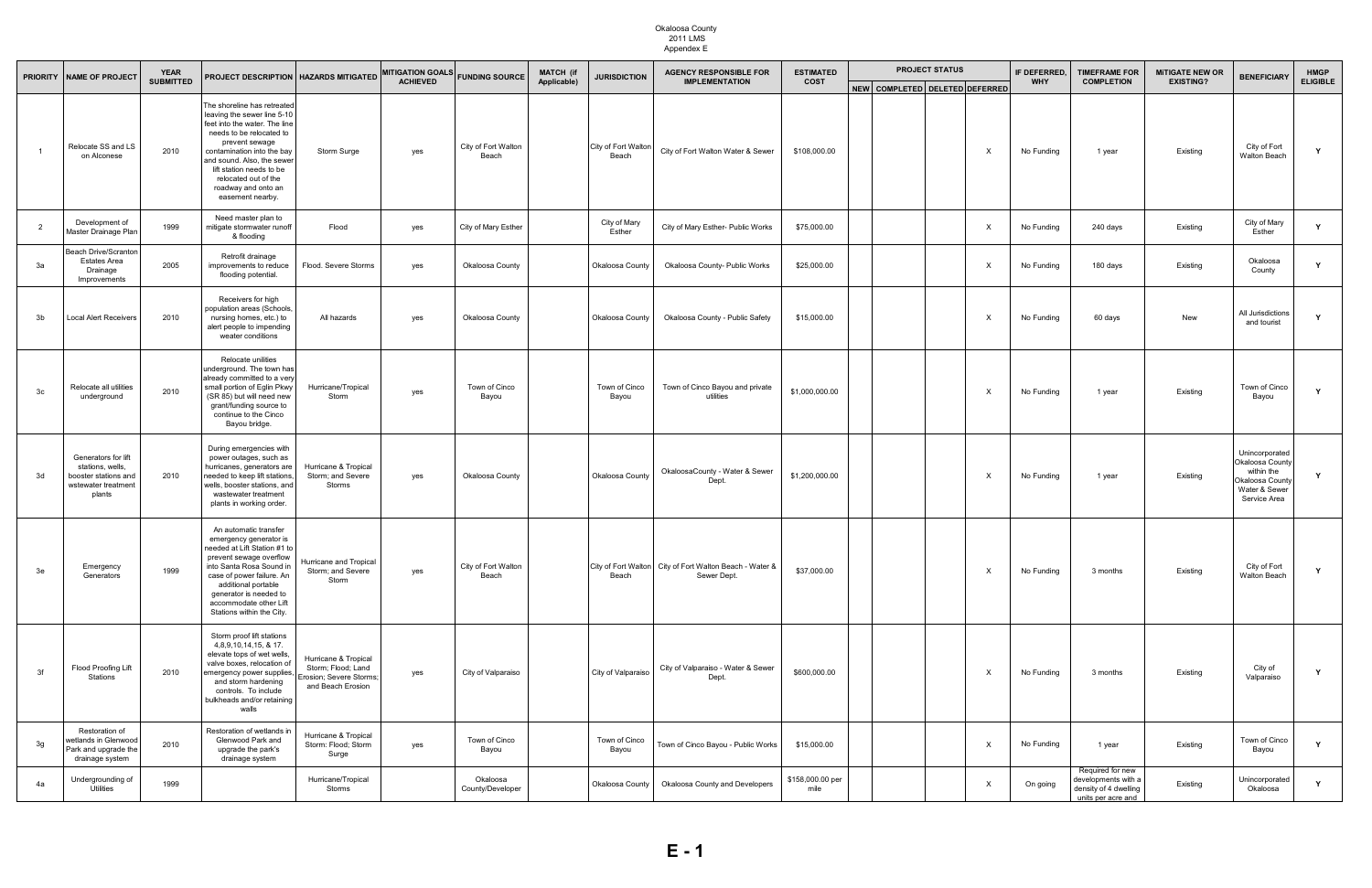| <b>PRIORITY</b> | <b>NAME OF PROJECT</b>                                                                           | <b>YEAR</b>      | <b>PROJECT DESCRIPTION   HAZARDS MITIGATED</b>                                                                                                                                                                                                                                                       |                                                                                            | <b>MITIGATION GOALS</b> | <b>FUNDING SOURCE</b>        | <b>MATCH (if</b><br><b>JURISDICTION</b> |                              | <b>AGENCY RESPONSIBLE FOR</b>                                          | <b>ESTIMATED</b>         |                                | <b>PROJECT STATUS</b> |                           | IF DEFERRED. | <b>TIMEFRAME FOR</b>                                                                   | <b>MITIGATE NEW OR</b> | <b>BENEFICIARY</b>                                                                                  | <b>HMGP</b>     |
|-----------------|--------------------------------------------------------------------------------------------------|------------------|------------------------------------------------------------------------------------------------------------------------------------------------------------------------------------------------------------------------------------------------------------------------------------------------------|--------------------------------------------------------------------------------------------|-------------------------|------------------------------|-----------------------------------------|------------------------------|------------------------------------------------------------------------|--------------------------|--------------------------------|-----------------------|---------------------------|--------------|----------------------------------------------------------------------------------------|------------------------|-----------------------------------------------------------------------------------------------------|-----------------|
|                 |                                                                                                  | <b>SUBMITTED</b> |                                                                                                                                                                                                                                                                                                      |                                                                                            | <b>ACHIEVED</b>         |                              | Applicable)                             |                              | <b>IMPLEMENTATION</b>                                                  | <b>COST</b>              | NEW COMPLETED DELETED DEFERRED |                       |                           | <b>WHY</b>   | <b>COMPLETION</b>                                                                      | <b>EXISTING?</b>       |                                                                                                     | <b>ELIGIBLE</b> |
|                 | Relocate SS and LS<br>on Alconese                                                                | 2010             | The shoreline has retreated<br>leaving the sewer line 5-10<br>feet into the water. The line<br>needs to be relocated to<br>prevent sewage<br>contamination into the bay<br>and sound. Also, the sewer<br>lift station needs to be<br>relocated out of the<br>roadway and onto an<br>easement nearby. | Storm Surge                                                                                | yes                     | City of Fort Walton<br>Beach |                                         | City of Fort Walton<br>Beach | City of Fort Walton Water & Sewer                                      | \$108,000.00             |                                |                       | X                         | No Funding   | 1 year                                                                                 | Existing               | City of Fort<br>Walton Beach                                                                        |                 |
| $\overline{2}$  | Development of<br>Master Drainage Plan                                                           | 1999             | Need master plan to<br>mitigate stormwater runoff<br>& flooding                                                                                                                                                                                                                                      | Flood                                                                                      | yes                     | City of Mary Esther          |                                         | City of Mary<br>Esther       | City of Mary Esther- Public Works                                      | \$75,000.00              |                                |                       | $\mathsf{X}$              | No Funding   | 240 days                                                                               | Existing               | City of Mary<br>Esther                                                                              | Y               |
| За              | <b>Beach Drive/Scranton</b><br><b>Estates Area</b><br>Drainage<br>Improvements                   | 2005             | Retrofit drainage<br>improvements to reduce<br>flooding potential.                                                                                                                                                                                                                                   | Flood. Severe Storms                                                                       | yes                     | Okaloosa County              |                                         | Okaloosa County              | Okaloosa County- Public Works                                          | \$25,000.00              |                                |                       | $\boldsymbol{\mathsf{X}}$ | No Funding   | 180 days                                                                               | Existing               | Okaloosa<br>County                                                                                  |                 |
| 3b              | Local Alert Receivers                                                                            | 2010             | Receivers for high<br>population areas (Schools,<br>nursing homes, etc.) to<br>alert people to impending<br>weater conditions                                                                                                                                                                        | All hazards                                                                                | yes                     | Okaloosa County              |                                         | Okaloosa County              | Okaloosa County - Public Safety                                        | \$15,000.00              |                                |                       | X                         | No Funding   | 60 days                                                                                | New                    | All Jurisdictions<br>and tourist                                                                    | <b>Y</b>        |
| 3c              | Relocate all utilities<br>underground                                                            | 2010             | Relocate unilities<br>underground. The town has<br>already committed to a very<br>small portion of Eglin Pkwy<br>(SR 85) but will need new<br>grant/funding source to<br>continue to the Cinco<br>Bayou bridge.                                                                                      | Hurricane/Tropical<br>Storm                                                                | yes                     | Town of Cinco<br>Bayou       |                                         | Town of Cinco<br>Bayou       | Town of Cinco Bayou and private<br>utilities                           | \$1,000,000.00           |                                |                       | $\mathsf{X}$              | No Funding   | 1 year                                                                                 | Existing               | Town of Cinco<br>Bayou                                                                              | Y               |
| 3d              | Generators for lift<br>stations, wells,<br>booster stations and<br>wstewater treatment<br>plants | 2010             | During emergencies with<br>power outages, such as<br>hurricanes, generators are<br>needed to keep lift stations<br>wells, booster stations, and<br>wastewater treatment<br>plants in working order.                                                                                                  | Hurricane & Tropical<br>Storm; and Severe<br>Storms                                        | yes                     | Okaloosa County              |                                         | Okaloosa County              | OkaloosaCounty - Water & Sewer<br>Dept.                                | \$1,200,000.00           |                                |                       | $\mathsf{X}$              | No Funding   | 1 year                                                                                 | Existing               | Unincorporated<br>Okaloosa County<br>within the<br>Okaloosa County<br>Water & Sewer<br>Service Area | $\mathbf{v}$    |
| 3e              | Emergency<br>Generators                                                                          | 1999             | An automatic transfer<br>emergency generator is<br>needed at Lift Station #1 to<br>prevent sewage overflow<br>into Santa Rosa Sound in<br>case of power failure. An<br>additional portable<br>generator is needed to<br>accommodate other Lift<br>Stations within the City.                          | <b>Hurricane and Tropical</b><br>Storm; and Severe<br>Storm                                | yes                     | City of Fort Walton<br>Beach |                                         | Beach                        | City of Fort Walton City of Fort Walton Beach - Water &<br>Sewer Dept. | \$37,000.00              |                                |                       | $\boldsymbol{\mathsf{x}}$ | No Funding   | 3 months                                                                               | Existing               | City of Fort<br>Walton Beach                                                                        | Y               |
| 3f              | Flood Proofing Lift<br>Stations                                                                  | 2010             | Storm proof lift stations<br>4,8,9,10,14,15, & 17.<br>elevate tops of wet wells,<br>valve boxes, relocation of<br>emergency power supplies,<br>and storm hardening<br>controls. To include<br>bulkheads and/or retaining<br>walls                                                                    | Hurricane & Tropical<br>Storm; Flood; Land<br>Erosion; Severe Storms;<br>and Beach Erosion | yes                     | City of Valparaiso           |                                         | City of Valparaiso           | City of Valparaiso - Water & Sewer<br>Dept.                            | \$600,000.00             |                                |                       | X                         | No Funding   | 3 months                                                                               | Existing               | City of<br>Valparaiso                                                                               | Y               |
| 3g              | Restoration of<br>vetlands in Glenwood<br>Park and upgrade the<br>drainage system                | 2010             | Restoration of wetlands in<br>Glenwood Park and<br>upgrade the park's<br>drainage system                                                                                                                                                                                                             | Hurricane & Tropical<br>Storm: Flood; Storm<br>Surge                                       | yes                     | Town of Cinco<br>Bayou       |                                         | Town of Cinco<br>Bayou       | Town of Cinco Bayou - Public Works                                     | \$15,000.00              |                                |                       | $\mathsf{X}$              | No Funding   | 1 year                                                                                 | Existing               | Town of Cinco<br>Bayou                                                                              | Y               |
| 4a              | Undergrounding of<br>Utilities                                                                   | 1999             |                                                                                                                                                                                                                                                                                                      | Hurricane/Tropical<br>Storms                                                               |                         | Okaloosa<br>County/Developer |                                         | Okaloosa County              | Okaloosa County and Developers                                         | \$158,000.00 per<br>mile |                                |                       | $\mathsf{X}$              | On going     | Required for new<br>developments with a<br>density of 4 dwelling<br>units per acre and | Existing               | Unincorporated<br>Okaloosa                                                                          | Y               |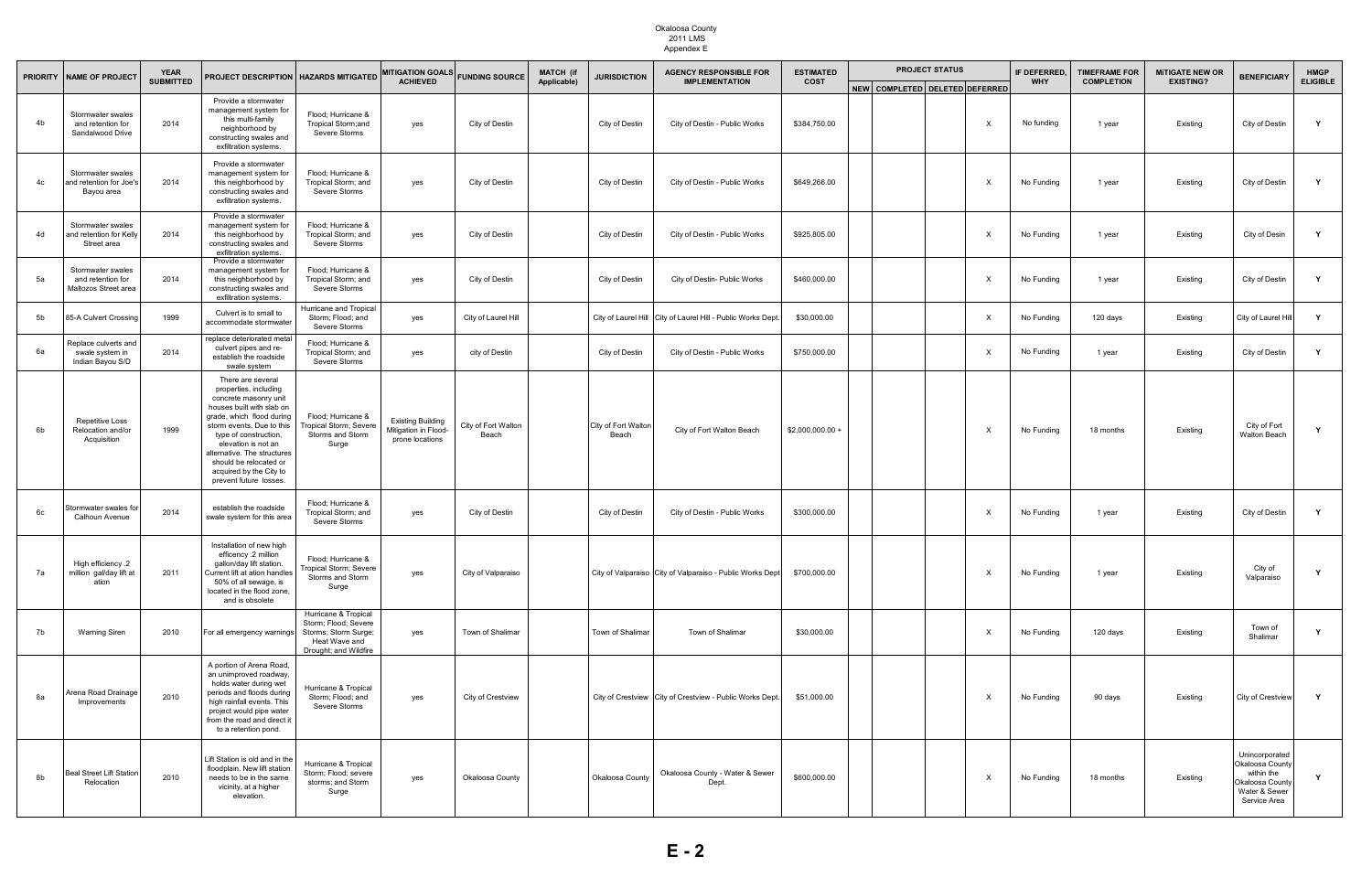| <b>PRIORITY</b> | <b>NAME OF PROJECT</b>                                         | <b>YEAR</b>      |                                                                                                                                                                                                                                                                                                                          | PROJECT DESCRIPTION   HAZARDS MITIGATED                                                                        | <b>MITIGATION GOALS</b>                                             | <b>FUNDING SOURCE</b>        | <b>MATCH (if</b> | <b>JURISDICTION</b>          | <b>AGENCY RESPONSIBLE FOR</b>                                  | <b>ESTIMATED</b> | <b>PROJECT STATUS</b>          | IF DEFERRED, | <b>TIMEFRAME FOR</b> | <b>MITIGATE NEW OR</b>                                                                                                                               | <b>BENEFICIARY</b>                                                                                  | <b>HMGP</b><br><b>ELIGIBLE</b> |
|-----------------|----------------------------------------------------------------|------------------|--------------------------------------------------------------------------------------------------------------------------------------------------------------------------------------------------------------------------------------------------------------------------------------------------------------------------|----------------------------------------------------------------------------------------------------------------|---------------------------------------------------------------------|------------------------------|------------------|------------------------------|----------------------------------------------------------------|------------------|--------------------------------|--------------|----------------------|------------------------------------------------------------------------------------------------------------------------------------------------------|-----------------------------------------------------------------------------------------------------|--------------------------------|
|                 |                                                                | <b>SUBMITTED</b> |                                                                                                                                                                                                                                                                                                                          |                                                                                                                | <b>ACHIEVED</b>                                                     |                              | Applicable)      |                              | <b>IMPLEMENTATION</b>                                          | <b>COST</b>      | NEW COMPLETED DELETED DEFERRED | <b>WHY</b>   | <b>COMPLETION</b>    | <b>EXISTING?</b><br>Existing<br>Existing<br>Existing<br>Existing<br>Existing<br>Existing<br>Existing<br>Existing<br>Existing<br>Existing<br>Existing |                                                                                                     |                                |
| 4 <sub>b</sub>  | Stormwater swales<br>and retention for<br>Sandalwood Drive     | 2014             | Provide a stormwater<br>management system for<br>this multi-family<br>neighborhood by<br>constructing swales and<br>exfiltration systems.                                                                                                                                                                                | Flood; Hurricane &<br>Tropical Storm;and<br>Severe Storms                                                      | yes                                                                 | City of Destin               |                  | City of Destin               | City of Destin - Public Works                                  | \$384,750.00     | $\times$                       | No funding   | 1 year               |                                                                                                                                                      | City of Destin                                                                                      | Y                              |
| 4c              | Stormwater swales<br>and retention for Joe's<br>Bayou area     | 2014             | Provide a stormwater<br>management system for<br>this neighborhood by<br>constructing swales and<br>exfiltration systems.                                                                                                                                                                                                | Flood; Hurricane &<br>Tropical Storm; and<br>Severe Storms                                                     | yes                                                                 | City of Destin               |                  | City of Destin               | City of Destin - Public Works                                  | \$649,266.00     | X                              | No Funding   | 1 year               |                                                                                                                                                      | City of Destin                                                                                      | Y                              |
| 4d              | Stormwater swales<br>and retention for Kelly<br>Street area    | 2014             | Provide a stormwater<br>management system for<br>this neighborhood by<br>constructing swales and<br>exfiltration systems.                                                                                                                                                                                                | Flood; Hurricane &<br>Tropical Storm; and<br>Severe Storms                                                     | yes                                                                 | City of Destin               |                  | City of Destin               | City of Destin - Public Works                                  | \$925,805.00     | $\times$                       | No Funding   | 1 year               |                                                                                                                                                      | City of Desin                                                                                       | Y                              |
| 5a              | Stormwater swales<br>and retention for<br>Maltozos Street area | 2014             | Provide a stormwater<br>management system for<br>this neighborhood by<br>constructing swales and<br>exfiltration systems.                                                                                                                                                                                                | Flood; Hurricane &<br>Tropical Storm; and<br>Severe Storms                                                     | yes                                                                 | City of Destin               |                  | City of Destin               | City of Destin- Public Works                                   | \$460,000.00     | X                              | No Funding   | 1 year               |                                                                                                                                                      | City of Destin                                                                                      | Y                              |
| 5b              | 85-A Culvert Crossing                                          | 1999             | Culvert is to small to<br>accommodate stormwater                                                                                                                                                                                                                                                                         | Hurricane and Tropical<br>Storm; Flood; and<br>Severe Storms                                                   | yes                                                                 | City of Laurel Hill          |                  |                              | City of Laurel Hill   City of Laurel Hill - Public Works Dept. | \$30,000.00      | X                              | No Funding   | 120 days             |                                                                                                                                                      | City of Laurel Hill                                                                                 | Y                              |
| 6а              | Replace culverts and<br>swale system in<br>Indian Bayou S/D    | 2014             | replace deteriorated meta<br>culvert pipes and re-<br>establish the roadside<br>swale system                                                                                                                                                                                                                             | Flood; Hurricane &<br>Tropical Storm; and<br>Severe Storms                                                     | yes                                                                 | city of Destin               |                  | City of Destin               | City of Destin - Public Works                                  | \$750,000.00     | X                              | No Funding   | 1 year               |                                                                                                                                                      | City of Destin                                                                                      | Y                              |
| 6b              | <b>Repetitive Loss</b><br>Relocation and/or<br>Acquisition     | 1999             | There are several<br>properties, including<br>concrete masonry unit<br>houses built with slab on<br>grade, which flood during<br>storm events. Due to this<br>type of construction,<br>elevation is not an<br>alternative. The structures<br>should be relocated or<br>acquired by the City to<br>prevent future losses. | Flood; Hurricane &<br>Tropical Storm; Severe<br>Storms and Storm<br>Surge                                      | <b>Existing Building</b><br>Mitigation in Flood-<br>prone locations | City of Fort Walton<br>Beach |                  | City of Fort Walton<br>Beach | City of Fort Walton Beach                                      | \$2,000,000.00   | $\boldsymbol{\mathsf{X}}$      | No Funding   | 18 months            |                                                                                                                                                      | City of Fort<br><b>Walton Beach</b>                                                                 | $\mathbf{v}$                   |
| 6с              | Stormwater swales for<br>Calhoun Avenue                        | 2014             | establish the roadside<br>swale system for this area                                                                                                                                                                                                                                                                     | Flood; Hurricane &<br>Tropical Storm; and<br>Severe Storms                                                     | yes                                                                 | City of Destin               |                  | City of Destin               | City of Destin - Public Works                                  | \$300,000.00     | X                              | No Funding   | 1 year               |                                                                                                                                                      | City of Destin                                                                                      | Y                              |
| 7a              | High efficiency .2<br>million gal/day lift at<br>ation         | 2011             | Installation of new high<br>efficency .2 million<br>gallon/day lift station.<br>Current lift at ation handles<br>50% of all sewage, is<br>located in the flood zone,<br>and is obsolete                                                                                                                                  | Flood; Hurricane &<br>Tropical Storm; Severe<br>Storms and Storm<br>Surge                                      | yes                                                                 | City of Valparaiso           |                  |                              | City of Valparaiso City of Valparaiso - Public Works Dept      | \$700,000.00     | X                              | No Funding   | 1 year               |                                                                                                                                                      | City of<br>Valparaiso                                                                               |                                |
| 7b              | Warning Siren                                                  | 2010             | For all emergency warnings                                                                                                                                                                                                                                                                                               | Hurricane & Tropical<br>Storm; Flood; Severe<br>Storms; Storm Surge;<br>Heat Wave and<br>Drought; and Wildfire | yes                                                                 | Town of Shalimar             |                  | Town of Shalimar             | Town of Shalimar                                               | \$30,000.00      | $\times$                       | No Funding   | 120 days             |                                                                                                                                                      | Town of<br>Shalimar                                                                                 |                                |
| 8a              | Arena Road Drainage<br>Improvements                            | 2010             | A portion of Arena Road,<br>an unimproved roadway,<br>holds water during wet<br>periods and floods during<br>high rainfall events. This<br>project would pipe water<br>from the road and direct it<br>to a retention pond.                                                                                               | Hurricane & Tropical<br>Storm; Flood; and<br>Severe Storms                                                     | yes                                                                 | City of Crestview            |                  |                              | City of Crestview   City of Crestview - Public Works Dept.     | \$51,000.00      | $\times$                       | No Funding   | 90 days              |                                                                                                                                                      | City of Crestview                                                                                   | Y                              |
| 8b              | <b>Beal Street Lift Station</b><br>Relocation                  | 2010             | Lift Station is old and in the<br>floodplain. New lift station<br>needs to be in the same<br>vicinity, at a higher<br>elevation.                                                                                                                                                                                         | Hurricane & Tropical<br>Storm; Flood; severe<br>storms; and Storm<br>Surge                                     | yes                                                                 | <b>Okaloosa County</b>       |                  | Okaloosa County              | Okaloosa County - Water & Sewer<br>Dept.                       | \$600,000.00     | $\mathsf{X}$                   | No Funding   | 18 months            | Existing                                                                                                                                             | Unincorporated<br>Okaloosa County<br>within the<br>Okaloosa County<br>Water & Sewer<br>Service Area | Y                              |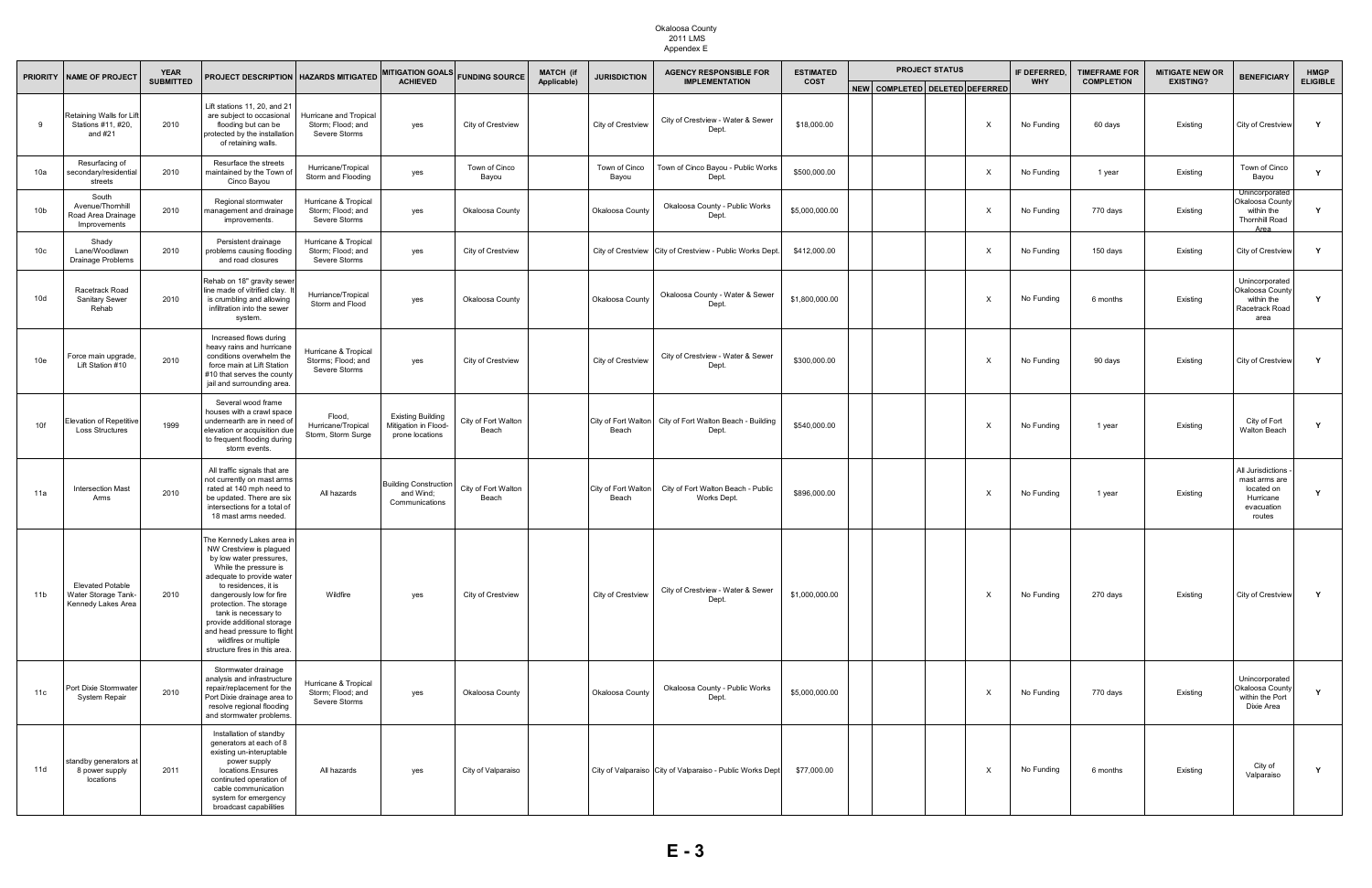| <b>PRIORITY</b> | <b>NAME OF PROJECT</b>                                              | <b>YEAR</b>      | PROJECT DESCRIPTION   HAZARDS MITIGATED                                                                                                                                                                                                                                                                                                                             |                                                              | <b>MITIGATION GOALS</b>                                             | <b>FUNDING SOURCE</b>        | <b>MATCH (if</b> | <b>JURISDICTION</b>          | <b>AGENCY RESPONSIBLE FOR</b>                                     | <b>ESTIMATED</b> |                                | <b>PROJECT STATUS</b> |                           | IF DEFERRED. | <b>TIMEFRAME FOR</b> | <b>MITIGATE NEW OR</b><br><b>EXISTING?</b> | <b>BENEFICIARY</b>                                                                    | <b>HMGP</b><br><b>ELIGIBLE</b> |
|-----------------|---------------------------------------------------------------------|------------------|---------------------------------------------------------------------------------------------------------------------------------------------------------------------------------------------------------------------------------------------------------------------------------------------------------------------------------------------------------------------|--------------------------------------------------------------|---------------------------------------------------------------------|------------------------------|------------------|------------------------------|-------------------------------------------------------------------|------------------|--------------------------------|-----------------------|---------------------------|--------------|----------------------|--------------------------------------------|---------------------------------------------------------------------------------------|--------------------------------|
|                 |                                                                     | <b>SUBMITTED</b> |                                                                                                                                                                                                                                                                                                                                                                     |                                                              | <b>ACHIEVED</b>                                                     |                              | Applicable)      |                              | <b>IMPLEMENTATION</b>                                             | <b>COST</b>      | NEW COMPLETED DELETED DEFERRED |                       |                           | <b>WHY</b>   | <b>COMPLETION</b>    |                                            |                                                                                       |                                |
| -9              | Retaining Walls for Lift<br>Stations #11, #20,<br>and $#21$         | 2010             | Lift stations 11, 20, and 21<br>are subject to occasional<br>flooding but can be<br>protected by the installation<br>of retaining walls.                                                                                                                                                                                                                            | Hurricane and Tropical<br>Storm; Flood; and<br>Severe Storms | yes                                                                 | City of Crestview            |                  | City of Crestview            | City of Crestview - Water & Sewer<br>Dept.                        | \$18,000.00      |                                |                       | $\mathsf{X}$              | No Funding   | 60 days              | Existing                                   | City of Crestview                                                                     | Y                              |
| 10a             | Resurfacing of<br>secondary/residential<br>streets                  | 2010             | Resurface the streets<br>maintained by the Town of<br>Cinco Bayou                                                                                                                                                                                                                                                                                                   | Hurricane/Tropical<br>Storm and Flooding                     | yes                                                                 | Town of Cinco<br>Bayou       |                  | Town of Cinco<br>Bayou       | Town of Cinco Bayou - Public Works<br>Dept.                       | \$500,000.00     |                                |                       | $\mathsf{X}$              | No Funding   | 1 year               | Existing                                   | Town of Cinco<br>Bayou                                                                | Y                              |
| 10 <sub>b</sub> | South<br>Avenue/Thornhill<br>Road Area Drainage<br>Improvements     | 2010             | Regional stormwater<br>management and drainage<br>improvements.                                                                                                                                                                                                                                                                                                     | Hurricane & Tropical<br>Storm; Flood; and<br>Severe Storms   | yes                                                                 | Okaloosa County              |                  | Okaloosa County              | Okaloosa County - Public Works<br>Dept.                           | \$5,000,000.00   |                                |                       | $\mathsf{X}$              | No Funding   | 770 days             | Existing                                   | Unincorporated<br>Okaloosa County<br>within the<br><b>Thornhill Road</b><br>Area      | Y                              |
| 10 <sub>c</sub> | Shady<br>Lane/Woodlawn<br>Drainage Problems                         | 2010             | Persistent drainage<br>problems causing flooding<br>and road closures                                                                                                                                                                                                                                                                                               | Hurricane & Tropical<br>Storm; Flood; and<br>Severe Storms   | yes                                                                 | City of Crestview            |                  |                              | City of Crestview   City of Crestview - Public Works Dept.        | \$412,000.00     |                                |                       | $\mathsf{X}$              | No Funding   | 150 days             | Existing                                   | City of Crestview                                                                     | Y                              |
| 10d             | Racetrack Road<br><b>Sanitary Sewer</b><br>Rehab                    | 2010             | Rehab on 18" gravity sewer<br>line made of vitrified clay.<br>is crumbling and allowing<br>infiltration into the sewer<br>system.                                                                                                                                                                                                                                   | Hurriance/Tropical<br>Storm and Flood                        | yes                                                                 | Okaloosa County              |                  | Okaloosa County              | Okaloosa County - Water & Sewer<br>Dept.                          | \$1,800,000.00   |                                |                       | $\mathsf{X}$              | No Funding   | 6 months             | Existing                                   | Unincorporated<br>Okaloosa County<br>within the<br>Racetrack Road<br>area             | Y                              |
| 10e             | Force main upgrade<br>Lift Station #10                              | 2010             | Increased flows during<br>heavy rains and hurricane<br>conditions overwhelm the<br>force main at Lift Station<br>#10 that serves the county<br>jail and surrounding area.                                                                                                                                                                                           | Hurricane & Tropical<br>Storms; Flood; and<br>Severe Storms  | yes                                                                 | City of Crestview            |                  | City of Crestview            | City of Crestview - Water & Sewer<br>Dept.                        | \$300,000.00     |                                |                       | X                         | No Funding   | 90 days              | Existing                                   | City of Crestview                                                                     | Y                              |
| 10f             | <b>Elevation of Repetitive</b><br>Loss Structures                   | 1999             | Several wood frame<br>houses with a crawl space<br>undernearth are in need of<br>elevation or acquisition due<br>to frequent flooding during<br>storm events.                                                                                                                                                                                                       | Flood,<br>Hurricane/Tropical<br>Storm, Storm Surge           | <b>Existing Building</b><br>Mitigation in Flood-<br>prone locations | City of Fort Walton<br>Beach |                  | Beach                        | City of Fort Walton City of Fort Walton Beach - Building<br>Dept. | \$540,000.00     |                                |                       | $\boldsymbol{\mathsf{X}}$ | No Funding   | 1 year               | Existing                                   | City of Fort<br><b>Walton Beach</b>                                                   | $\mathbf{Y}$                   |
| 11a             | <b>Intersection Mast</b><br>Arms                                    | 2010             | All traffic signals that are<br>not currently on mast arms<br>rated at 140 mph need to<br>be updated. There are six<br>intersections for a total of<br>18 mast arms needed.                                                                                                                                                                                         | All hazards                                                  | <b>Building Construction</b><br>and Wind;<br>Communications         | City of Fort Walton<br>Beach |                  | City of Fort Walton<br>Beach | City of Fort Walton Beach - Public<br>Works Dept.                 | \$896,000.00     |                                |                       | $\mathsf{X}$              | No Funding   | 1 year               | Existing                                   | All Jurisdictions<br>mast arms are<br>located on<br>Hurricane<br>evacuation<br>routes |                                |
| 11 <sub>b</sub> | <b>Elevated Potable</b><br>Water Storage Tank<br>Kennedy Lakes Area | 2010             | The Kennedy Lakes area in<br>NW Crestview is plagued<br>by low water pressures,<br>While the pressure is<br>adequate to provide water<br>to residences, it is<br>dangerously low for fire<br>protection. The storage<br>tank is necessary to<br>provide additional storage<br>and head pressure to flight<br>wildfires or multiple<br>structure fires in this area. | Wildfire                                                     | yes                                                                 | City of Crestview            |                  | City of Crestview            | City of Crestview - Water & Sewer<br>Dept.                        | \$1,000,000.00   |                                |                       | $\mathsf{X}$              | No Funding   | 270 days             | Existing                                   | City of Crestview                                                                     | Y                              |
| 11c             | Port Dixie Stormwater<br>System Repair                              | 2010             | Stormwater drainage<br>analysis and infrastructure<br>repair/replacement for the<br>Port Dixie drainage area to<br>resolve regional flooding<br>and stormwater problems.                                                                                                                                                                                            | Hurricane & Tropical<br>Storm; Flood; and<br>Severe Storms   | yes                                                                 | Okaloosa County              |                  | Okaloosa County              | Okaloosa County - Public Works<br>Dept.                           | \$5,000,000.00   |                                |                       | $\boldsymbol{\mathsf{X}}$ | No Funding   | 770 days             | Existing                                   | Unincorporated<br>Okaloosa County<br>within the Port<br>Dixie Area                    |                                |
| 11d             | standby generators at<br>8 power supply<br>locations                | 2011             | Installation of standby<br>generators at each of 8<br>existing un-interuptable<br>power supply<br>locations.Ensures<br>continuted operation of<br>cable communication<br>system for emergency<br>broadcast capabilities                                                                                                                                             | All hazards                                                  | yes                                                                 | City of Valparaiso           |                  |                              | City of Valparaiso City of Valparaiso - Public Works Dept         | \$77,000.00      |                                |                       | X                         | No Funding   | 6 months             | Existing                                   | City of<br>Valparaiso                                                                 | Y                              |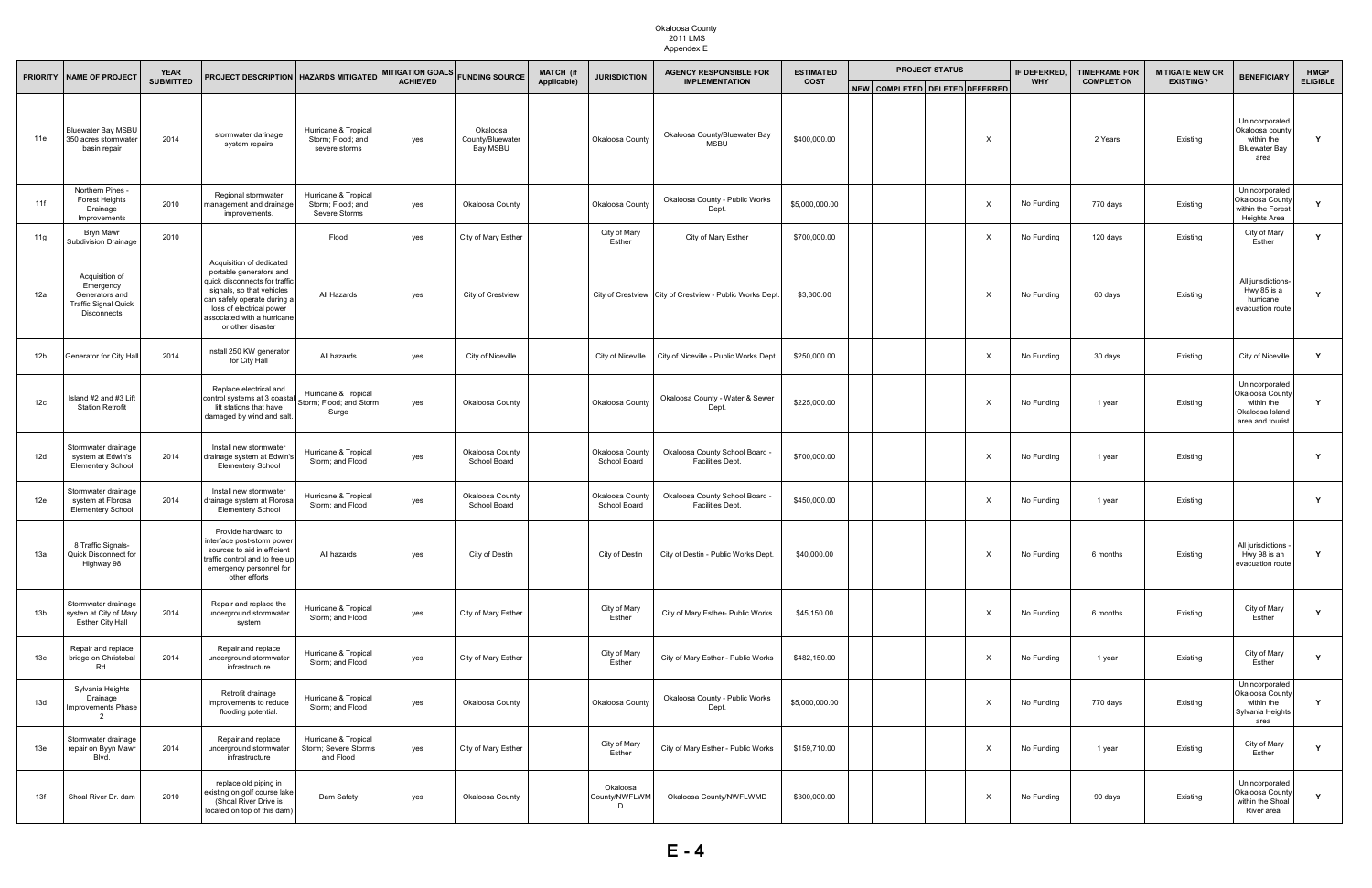| <b>PRIORITY</b> | <b>NAME OF PROJECT</b>                                                                             | <b>YEAR</b>      | <b>PROJECT DESCRIPTION   HAZARDS MITIGATED</b>                                                                                                                                                                                   |                                                            | <b>MITIGATION GOALS</b> | <b>FUNDING SOURCE</b>                    | <b>MATCH (if</b> | <b>JURISDICTION</b>             | <b>AGENCY RESPONSIBLE FOR</b>                              | <b>ESTIMATED</b> |  |                                | <b>PROJECT STATUS</b> |                           | IF DEFERRED. | <b>TIMEFRAME FOR</b> | <b>MITIGATE NEW OR</b> | <b>BENEFICIARY</b>                                                                     | <b>HMGP</b><br><b>ELIGIBLE</b> |
|-----------------|----------------------------------------------------------------------------------------------------|------------------|----------------------------------------------------------------------------------------------------------------------------------------------------------------------------------------------------------------------------------|------------------------------------------------------------|-------------------------|------------------------------------------|------------------|---------------------------------|------------------------------------------------------------|------------------|--|--------------------------------|-----------------------|---------------------------|--------------|----------------------|------------------------|----------------------------------------------------------------------------------------|--------------------------------|
|                 |                                                                                                    | <b>SUBMITTED</b> |                                                                                                                                                                                                                                  |                                                            | <b>ACHIEVED</b>         |                                          | Applicable)      |                                 | <b>IMPLEMENTATION</b>                                      | <b>COST</b>      |  | NEW COMPLETED DELETED DEFERRED |                       |                           | <b>WHY</b>   | <b>COMPLETION</b>    | <b>EXISTING?</b>       |                                                                                        |                                |
| 11e             | <b>Bluewater Bay MSBU</b><br>350 acres stormwater<br>basin repair                                  | 2014             | stormwater darinage<br>system repairs                                                                                                                                                                                            | Hurricane & Tropical<br>Storm; Flood; and<br>severe storms | yes                     | Okaloosa<br>County/Bluewater<br>Bay MSBU |                  | Okaloosa County                 | Okaloosa County/Bluewater Bay<br><b>MSBU</b>               | \$400,000.00     |  |                                |                       | $\times$                  |              | 2 Years              | Existing               | Unincorporated<br>Okaloosa county<br>within the<br><b>Bluewater Bay</b><br>area        | Y                              |
| 11f             | Northern Pines -<br><b>Forest Heights</b><br>Drainage<br>Improvements                              | 2010             | Regional stormwater<br>management and drainage<br>improvements.                                                                                                                                                                  | Hurricane & Tropical<br>Storm; Flood; and<br>Severe Storms | yes                     | Okaloosa County                          |                  | Okaloosa County                 | Okaloosa County - Public Works<br>Dept.                    | \$5,000,000.00   |  |                                |                       | $\mathsf{X}$              | No Funding   | 770 days             | Existing               | Unincorporated<br>Okaloosa County<br>within the Forest<br>Heights Area                 | Y                              |
| 11g             | Bryn Mawr<br><b>Subdivision Drainage</b>                                                           | 2010             |                                                                                                                                                                                                                                  | Flood                                                      | yes                     | City of Mary Esther                      |                  | City of Mary<br>Esther          | City of Mary Esther                                        | \$700,000.00     |  |                                |                       | $\mathsf{X}$              | No Funding   | 120 days             | Existing               | City of Mary<br>Esther                                                                 | Y                              |
| 12a             | Acquisition of<br>Emergency<br>Generators and<br><b>Traffic Signal Quick</b><br><b>Disconnects</b> |                  | Acquisition of dedicated<br>portable generators and<br>quick disconnects for traffic<br>signals, so that vehicles<br>can safely operate during a<br>loss of electrical power<br>associated with a hurricane<br>or other disaster | All Hazards                                                | yes                     | City of Crestview                        |                  |                                 | City of Crestview   City of Crestview - Public Works Dept. | \$3,300.00       |  |                                |                       | $\mathsf{X}$              | No Funding   | 60 days              | Existing               | All jurisdictions-<br>Hwy 85 is a<br>hurricane<br>evacuation route                     | $\mathbf v$                    |
| 12 <sub>b</sub> | Generator for City Hall                                                                            | 2014             | install 250 KW generator<br>for City Hall                                                                                                                                                                                        | All hazards                                                | yes                     | City of Niceville                        |                  | City of Niceville               | City of Niceville - Public Works Dept                      | \$250,000.00     |  |                                |                       | $\boldsymbol{\mathsf{x}}$ | No Funding   | 30 days              | Existing               | City of Niceville                                                                      | Y                              |
| 12 <sub>c</sub> | sland #2 and #3 Lift<br><b>Station Retrofit</b>                                                    |                  | Replace electrical and<br>control systems at 3 coastal<br>lift stations that have<br>damaged by wind and salt.                                                                                                                   | Hurricane & Tropical<br>Storm; Flood; and Storm<br>Surge   | yes                     | Okaloosa County                          |                  | Okaloosa County                 | Okaloosa County - Water & Sewer<br>Dept.                   | \$225,000.00     |  |                                |                       | X                         | No Funding   | 1 year               | Existing               | Unincorporated<br>Okaloosa County<br>within the<br>Okaloosa Island<br>area and tourist | $\mathbf v$                    |
| 12d             | Stormwater drainage<br>system at Edwin's<br><b>Elementery School</b>                               | 2014             | Install new stormwater<br>drainage system at Edwin's<br><b>Elementery School</b>                                                                                                                                                 | Hurricane & Tropical<br>Storm; and Flood                   | yes                     | Okaloosa County<br>School Board          |                  | Okaloosa Count<br>School Board  | Okaloosa County School Board -<br>Facilities Dept.         | \$700,000.00     |  |                                |                       | $\mathsf{X}$              | No Funding   | 1 year               | Existing               |                                                                                        | Y                              |
| 12e             | Stormwater drainage<br>system at Florosa<br><b>Elementery School</b>                               | 2014             | Install new stormwater<br>drainage system at Florosa<br><b>Elementery School</b>                                                                                                                                                 | Hurricane & Tropical<br>Storm; and Flood                   | yes                     | Okaloosa County<br>School Board          |                  | Okaloosa County<br>School Board | Okaloosa County School Board -<br><b>Facilities Dept.</b>  | \$450,000.00     |  |                                |                       | $\mathsf{X}$              | No Funding   | 1 year               | Existing               |                                                                                        | Y                              |
| 13а             | 8 Traffic Signals-<br><b>Quick Disconnect for</b><br>Highway 98                                    |                  | Provide hardward to<br>nterface post-storm power<br>sources to aid in efficient<br>traffic control and to free up<br>emergency personnel for<br>other efforts                                                                    | All hazards                                                | yes                     | City of Destin                           |                  | City of Destin                  | City of Destin - Public Works Dept.                        | \$40,000.00      |  |                                |                       | $\boldsymbol{\mathsf{X}}$ | No Funding   | 6 months             | Existing               | All jurisdictions<br>Hwy 98 is an<br>evacuation route                                  | Y                              |
| 13 <sub>b</sub> | Stormwater drainage<br>systen at City of Mary<br><b>Esther City Hall</b>                           | 2014             | Repair and replace the<br>underground stormwater<br>system                                                                                                                                                                       | Hurricane & Tropical<br>Storm; and Flood                   | yes                     | City of Mary Esther                      |                  | City of Mary<br>Esther          | City of Mary Esther- Public Works                          | \$45,150.00      |  |                                |                       | $\boldsymbol{\mathsf{X}}$ | No Funding   | 6 months             | Existing               | City of Mary<br>Esther                                                                 | Y                              |
| 13 <sub>c</sub> | Repair and replace<br>bridge on Christobal<br>Rd.                                                  | 2014             | Repair and replace<br>underground stormwater<br>infrastructure                                                                                                                                                                   | Hurricane & Tropical<br>Storm; and Flood                   | yes                     | City of Mary Esther                      |                  | City of Mary<br>Esther          | City of Mary Esther - Public Works                         | \$482,150.00     |  |                                |                       | $\mathsf{X}$              | No Funding   | 1 year               | Existing               | City of Mary<br>Esther                                                                 | Y                              |
| 13d             | Sylvania Heights<br>Drainage<br>Improvements Phase<br>$\overline{2}$                               |                  | Retrofit drainage<br>improvements to reduce<br>flooding potential.                                                                                                                                                               | Hurricane & Tropical<br>Storm; and Flood                   | yes                     | Okaloosa County                          |                  | Okaloosa County                 | Okaloosa County - Public Works<br>Dept.                    | \$5,000,000.00   |  |                                |                       | $\boldsymbol{\mathsf{X}}$ | No Funding   | 770 days             | Existing               | Unincorporated<br>Okaloosa County<br>within the<br>Sylvania Heights<br>area            | Y                              |
| 13e             | Stormwater drainage<br>repair on Byyn Mawr<br>Blvd.                                                | 2014             | Repair and replace<br>underground stormwater<br>infrastructure                                                                                                                                                                   | Hurricane & Tropical<br>Storm; Severe Storms<br>and Flood  | yes                     | City of Mary Esther                      |                  | City of Mary<br>Esther          | City of Mary Esther - Public Works                         | \$159,710.00     |  |                                |                       | X                         | No Funding   | 1 year               | Existing               | City of Mary<br>Esther                                                                 | Y                              |
| 13f             | Shoal River Dr. dam                                                                                | 2010             | replace old piping in<br>xisting on golf course lake<br>(Shoal River Drive is<br>located on top of this dam)                                                                                                                     | Dam Safety                                                 | yes                     | Okaloosa County                          |                  | Okaloosa<br>County/NWFLWM<br>D  | Okaloosa County/NWFLWMD                                    | \$300,000.00     |  |                                |                       | $\boldsymbol{\mathsf{X}}$ | No Funding   | 90 days              | Existing               | Unincorporated<br>Okaloosa County<br>within the Shoal<br>River area                    | Y                              |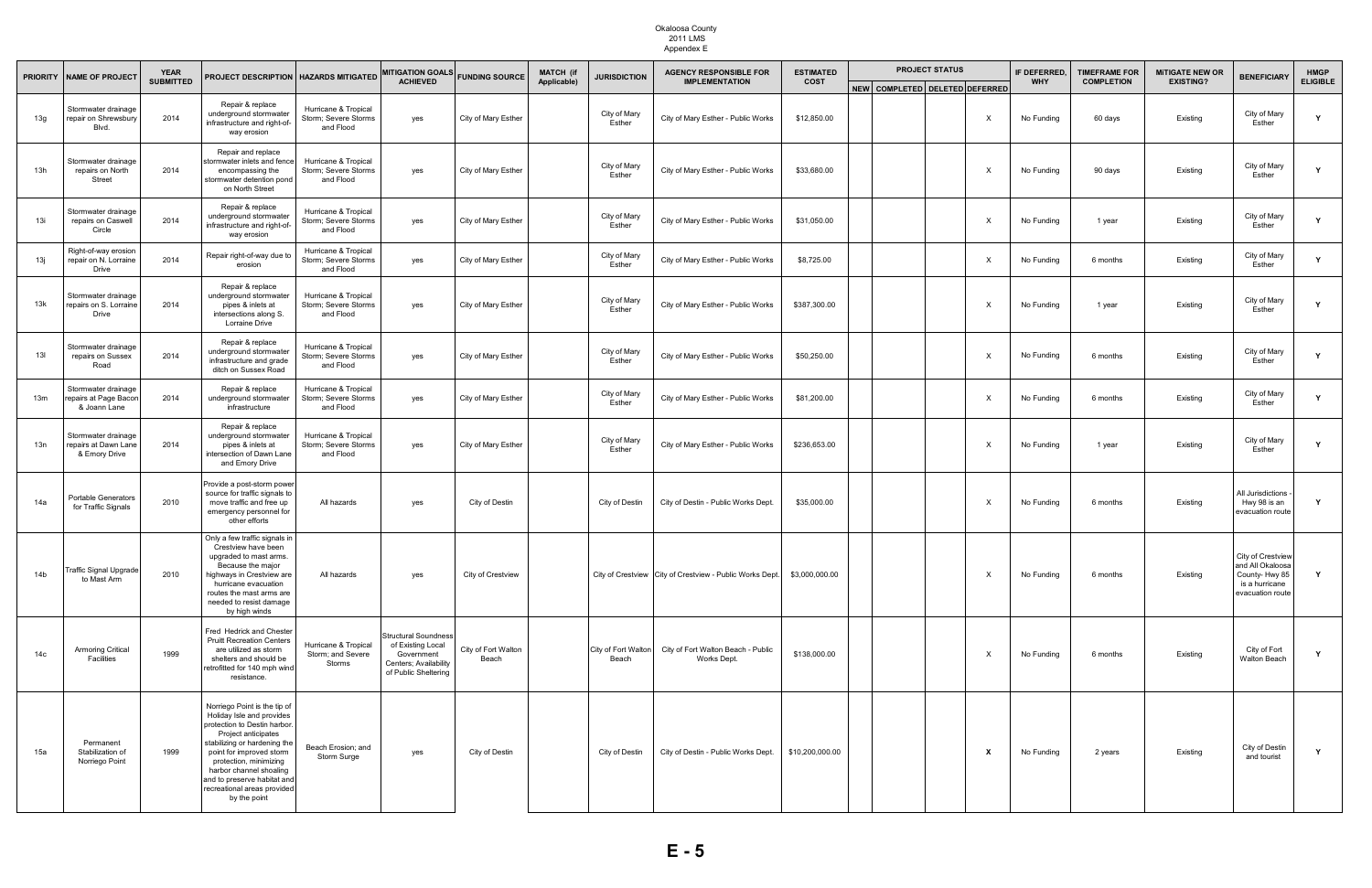| <b>PRIORITY</b> | <b>YEAR</b><br><b>NAME OF PROJECT</b>                        |                  |                                                                                                                                                                                                                                                                                                                 | PROJECT DESCRIPTION   HAZARDS MITIGATED                   | <b>MITIGATION GOALS</b>                                                                                         | <b>FUNDING SOURCE</b>        | <b>MATCH</b> (if<br>Applicable) | <b>JURISDICTION</b>          | <b>AGENCY RESPONSIBLE FOR</b><br><b>IMPLEMENTATION</b>   | <b>ESTIMATED</b> | <b>PROJECT STATUS</b>          |  | <b>IF DEFERRED</b><br><b>TIMEFRAME FOR</b> |            | <b>MITIGATE NEW OR</b><br><b>EXISTING?</b> | <b>BENEFICIARY</b> | <b>HMGP</b>                                                                                  |                 |
|-----------------|--------------------------------------------------------------|------------------|-----------------------------------------------------------------------------------------------------------------------------------------------------------------------------------------------------------------------------------------------------------------------------------------------------------------|-----------------------------------------------------------|-----------------------------------------------------------------------------------------------------------------|------------------------------|---------------------------------|------------------------------|----------------------------------------------------------|------------------|--------------------------------|--|--------------------------------------------|------------|--------------------------------------------|--------------------|----------------------------------------------------------------------------------------------|-----------------|
|                 |                                                              | <b>SUBMITTED</b> |                                                                                                                                                                                                                                                                                                                 |                                                           | <b>ACHIEVED</b>                                                                                                 |                              |                                 |                              |                                                          | <b>COST</b>      | NEW COMPLETED DELETED DEFERRED |  |                                            | <b>WHY</b> | <b>COMPLETION</b>                          |                    |                                                                                              | <b>ELIGIBLE</b> |
| 13g             | Stormwater drainage<br>repair on Shrewsbury<br>Blvd.         | 2014             | Repair & replace<br>underground stormwater<br>infrastructure and right-of-<br>way erosion                                                                                                                                                                                                                       | Hurricane & Tropical<br>Storm; Severe Storms<br>and Flood | yes                                                                                                             | City of Mary Esther          |                                 | City of Mary<br>Esther       | City of Mary Esther - Public Works                       | \$12,850.00      |                                |  | $\times$                                   | No Funding | 60 days                                    | Existing           | City of Mary<br>Esther                                                                       |                 |
| 13h             | Stormwater drainage<br>repairs on North<br>Street            | 2014             | Repair and replace<br>tormwater inlets and fence<br>encompassing the<br>stormwater detention pond<br>on North Street                                                                                                                                                                                            | Hurricane & Tropical<br>Storm; Severe Storms<br>and Flood | yes                                                                                                             | City of Mary Esther          |                                 | City of Mary<br>Esther       | City of Mary Esther - Public Works                       | \$33,680.00      |                                |  | $\times$                                   | No Funding | 90 days                                    | Existing           | City of Mary<br>Esther                                                                       |                 |
| 13i             | Stormwater drainage<br>repairs on Caswell<br>Circle          | 2014             | Repair & replace<br>underground stormwater<br>infrastructure and right-of-<br>way erosion                                                                                                                                                                                                                       | Hurricane & Tropical<br>Storm; Severe Storms<br>and Flood | yes                                                                                                             | City of Mary Esther          |                                 | City of Mary<br>Esther       | City of Mary Esther - Public Works                       | \$31,050.00      |                                |  | $\times$                                   | No Funding | 1 year                                     | Existing           | City of Mary<br>Esther                                                                       | Y               |
| 13ј             | Right-of-way erosion<br>repair on N. Lorraine<br>Drive       | 2014             | Repair right-of-way due to<br>erosion                                                                                                                                                                                                                                                                           | Hurricane & Tropical<br>Storm; Severe Storms<br>and Flood | yes                                                                                                             | City of Mary Esther          |                                 | City of Mary<br>Esther       | City of Mary Esther - Public Works                       | \$8,725.00       |                                |  | $\times$                                   | No Funding | 6 months                                   | Existing           | City of Mary<br>Esther                                                                       | Y               |
| 13k             | Stormwater drainage<br>repairs on S. Lorraine<br>Drive       | 2014             | Repair & replace<br>underground stormwater<br>pipes & inlets at<br>intersections along S.<br><b>Lorraine Drive</b>                                                                                                                                                                                              | Hurricane & Tropical<br>Storm; Severe Storms<br>and Flood | yes                                                                                                             | City of Mary Esther          |                                 | City of Mary<br>Esther       | City of Mary Esther - Public Works                       | \$387,300.00     |                                |  | $\times$                                   | No Funding | 1 year                                     | Existing           | City of Mary<br>Esther                                                                       |                 |
| 13I             | Stormwater drainage<br>repairs on Sussex<br>Road             | 2014             | Repair & replace<br>underground stormwater<br>infrastructure and grade<br>ditch on Sussex Road                                                                                                                                                                                                                  | Hurricane & Tropical<br>Storm; Severe Storms<br>and Flood | yes                                                                                                             | City of Mary Esther          |                                 | City of Mary<br>Esther       | City of Mary Esther - Public Works                       | \$50,250.00      |                                |  | $\times$                                   | No Funding | 6 months                                   | Existing           | City of Mary<br>Esther                                                                       | Y               |
| 13 <sub>m</sub> | Stormwater drainage<br>epairs at Page Bacon<br>& Joann Lane  | 2014             | Repair & replace<br>underground stormwater<br>infrastructure                                                                                                                                                                                                                                                    | Hurricane & Tropical<br>Storm; Severe Storms<br>and Flood | yes                                                                                                             | City of Mary Esther          |                                 | City of Mary<br>Esther       | City of Mary Esther - Public Works                       | \$81,200.00      |                                |  |                                            | No Funding | 6 months                                   | Existing           | City of Mary<br>Esther                                                                       |                 |
| 13n             | Stormwater drainage<br>repairs at Dawn Lane<br>& Emory Drive | 2014             | Repair & replace<br>underground stormwater<br>pipes & inlets at<br>intersection of Dawn Lane<br>and Emory Drive                                                                                                                                                                                                 | Hurricane & Tropical<br>Storm; Severe Storms<br>and Flood | yes                                                                                                             | City of Mary Esther          |                                 | City of Mary<br>Esther       | City of Mary Esther - Public Works                       | \$236,653.00     |                                |  | $\times$                                   | No Funding | 1 year                                     | Existing           | City of Mary<br>Esther                                                                       |                 |
| 14a             | <b>Portable Generators</b><br>for Traffic Signals            | 2010             | Provide a post-storm power<br>source for traffic signals to<br>move traffic and free up<br>emergency personnel for<br>other efforts                                                                                                                                                                             | All hazards                                               | yes                                                                                                             | City of Destin               |                                 | City of Destin               | City of Destin - Public Works Dept.                      | \$35,000.00      |                                |  | $\times$                                   | No Funding | 6 months                                   | Existing           | All Jurisdictions<br>Hwy 98 is an<br>evacuation route                                        | Y               |
| 14 <sub>b</sub> | Traffic Signal Upgrade<br>to Mast Arm                        | 2010             | Only a few traffic signals in<br>Crestview have been<br>upgraded to mast arms.<br>Because the major<br>highways in Crestview are<br>hurricane evacuation<br>routes the mast arms are<br>needed to resist damage<br>by high winds                                                                                | All hazards                                               | yes                                                                                                             | City of Crestview            |                                 |                              | City of Crestview City of Crestview - Public Works Dept. | \$3,000,000.00   |                                |  | X                                          | No Funding | 6 months                                   | Existing           | City of Crestview<br>and All Okaloosa<br>County-Hwy 85<br>is a hurricane<br>evacuation route |                 |
| 14с             | <b>Armoring Critical</b><br>Facilities                       | 1999             | Fred Hedrick and Chester<br><b>Pruitt Recreation Centers</b><br>are utilized as storm<br>shelters and should be<br>retrofitted for 140 mph wind<br>resistance.                                                                                                                                                  | Hurricane & Tropical<br>Storm; and Severe<br>Storms       | <b>Structural Soundness</b><br>of Existing Local<br>Government<br>Centers; Availability<br>of Public Sheltering | City of Fort Walton<br>Beach |                                 | City of Fort Walton<br>Beach | City of Fort Walton Beach - Public<br>Works Dept.        | \$138,000.00     |                                |  | X                                          | No Funding | 6 months                                   | Existing           | City of Fort<br>Walton Beach                                                                 | Y               |
| 15a             | Permanent<br>Stabilization of<br>Norriego Point              | 1999             | Norriego Point is the tip of<br>Holiday Isle and provides<br>protection to Destin harbor.<br>Project anticipates<br>stabilizing or hardening the<br>point for improved storm<br>protection, minimizing<br>harbor channel shoaling<br>and to preserve habitat and<br>recreational areas provided<br>by the point | Beach Erosion; and<br>Storm Surge                         | yes                                                                                                             | City of Destin               |                                 | City of Destin               | City of Destin - Public Works Dept.                      | \$10,200,000.00  |                                |  | $\mathbf{x}$                               | No Funding | 2 years                                    | Existing           | City of Destin<br>and tourist                                                                | Y               |